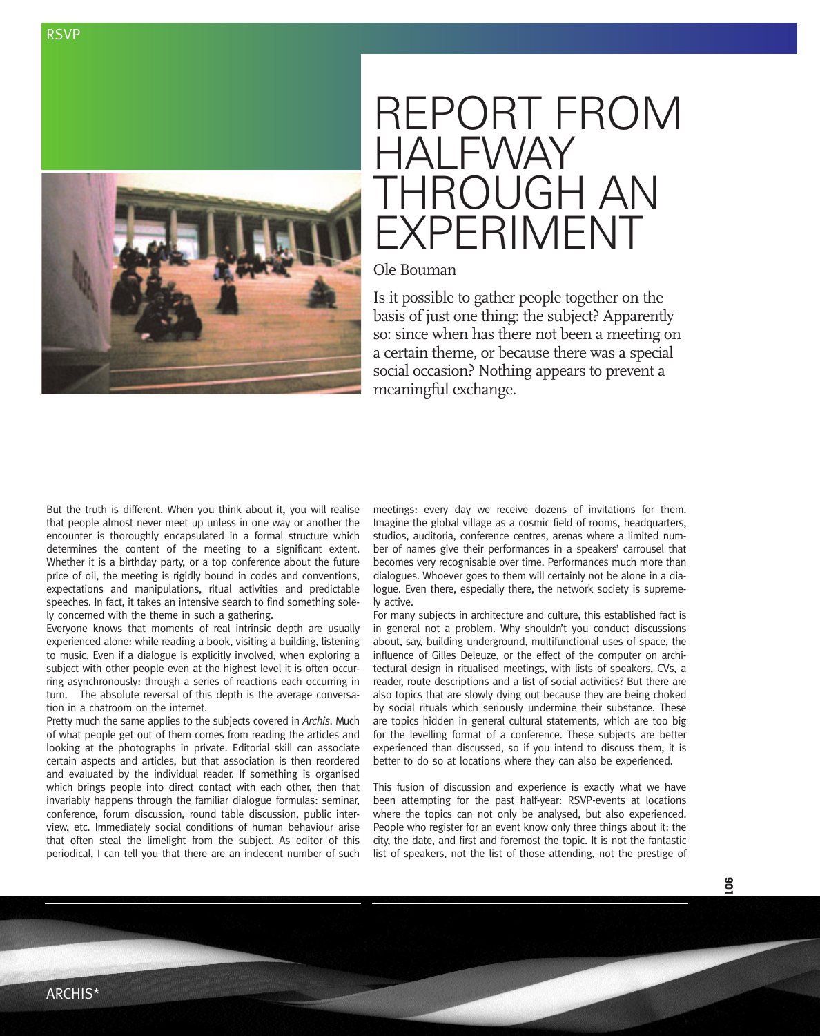

RSVP

## REPORT FROM HAI FWAY THROUGH AN EXPERIMENT

## Ole Bouman

Is it possible to gather people together on the basis of just one thing: the subject? Apparently so: since when has there not been a meeting on a certain theme, or because there was a special social occasion? Nothing appears to prevent a meaningful exchange.

But the truth is different. When you think about it, you will realise that people almost never meet up unless in one way or another the encounter is thoroughly encapsulated in a formal structure which determines the content of the meeting to a significant extent. Whether it is a birthday party, or a top conference about the future price of oil, the meeting is rigidly bound in codes and conventions, expectations and manipulations, ritual activities and predictable speeches. In fact, it takes an intensive search to find something solely concerned with the theme in such a gathering.

Everyone knows that moments of real intrinsic depth are usually experienced alone: while reading a book, visiting a building, listening to music. Even if a dialogue is explicitly involved, when exploring a subject with other people even at the highest level it is often occurring asynchronously: through a series of reactions each occurring in turn. The absolute reversal of this depth is the average conversation in a chatroom on the internet.

Pretty much the same applies to the subjects covered in *Archis*. Much of what people get out of them comes from reading the articles and looking at the photographs in private. Editorial skill can associate certain aspects and articles, but that association is then reordered and evaluated by the individual reader. If something is organised which brings people into direct contact with each other, then that invariably happens through the familiar dialogue formulas: seminar, conference, forum discussion, round table discussion, public interview, etc. Immediately social conditions of human behaviour arise that often steal the limelight from the subject. As editor of this periodical, I can tell you that there are an indecent number of such

meetings: every day we receive dozens of invitations for them. Imagine the global village as a cosmic field of rooms, headquarters, studios, auditoria, conference centres, arenas where a limited number of names give their performances in a speakers' carrousel that becomes very recognisable over time. Performances much more than dialogues. Whoever goes to them will certainly not be alone in a dialogue. Even there, especially there, the network society is supremely active.

For many subjects in architecture and culture, this established fact is in general not a problem. Why shouldn't you conduct discussions about, say, building underground, multifunctional uses of space, the influence of Gilles Deleuze, or the effect of the computer on architectural design in ritualised meetings, with lists of speakers, CVs, a reader, route descriptions and a list of social activities? But there are also topics that are slowly dying out because they are being choked by social rituals which seriously undermine their substance. These are topics hidden in general cultural statements, which are too big for the levelling format of a conference. These subjects are better experienced than discussed, so if you intend to discuss them, it is better to do so at locations where they can also be experienced.

This fusion of discussion and experience is exactly what we have been attempting for the past half-year: RSVP-events at locations where the topics can not only be analysed, but also experienced. People who register for an event know only three things about it: the city, the date, and first and foremost the topic. It is not the fantastic list of speakers, not the list of those attending, not the prestige of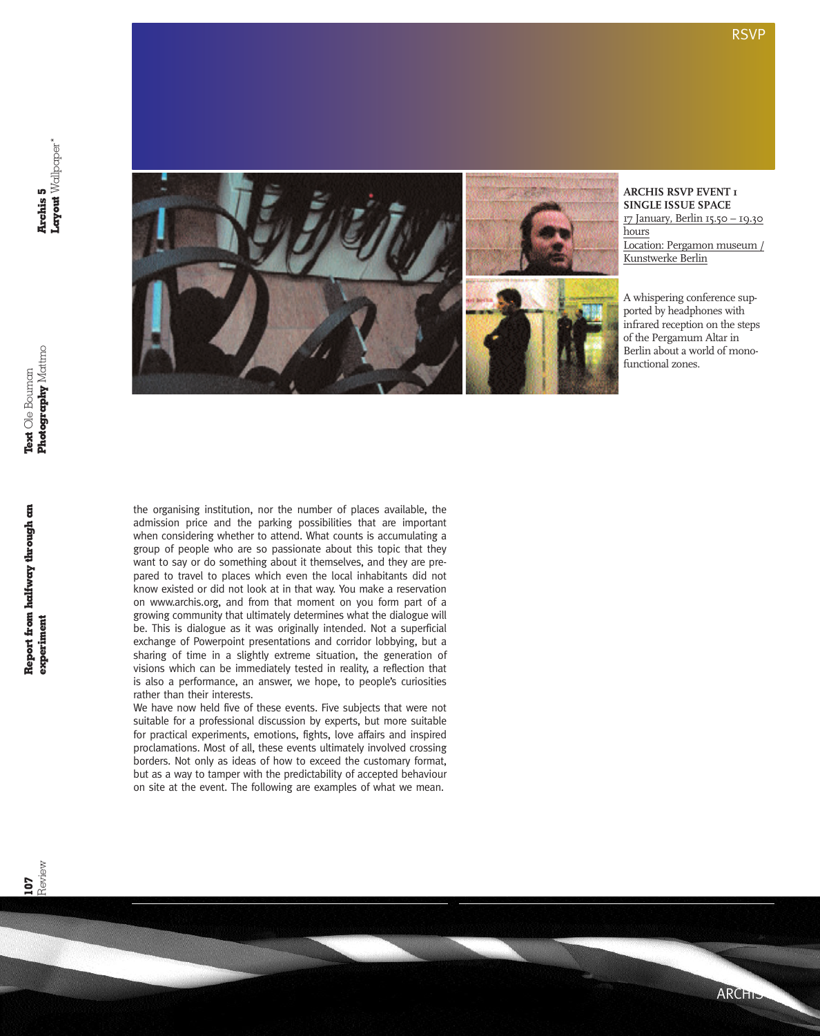

## **ARCHIS RSVP EVENT 1 SINGLE ISSUE SPACE**  17 January, Berlin 15.50 – 19.30 hours

Location: Pergamon museum / Kunstwerke Berlin

A whispering conference supported by headphones with infrared reception on the steps of the Pergamum Altar in Berlin about a world of monofunctional zones.

the organising institution, nor the number of places available, the admission price and the parking possibilities that are important when considering whether to attend. What counts is accumulating a group of people who are so passionate about this topic that they want to say or do something about it themselves, and they are prepared to travel to places which even the local inhabitants did not know existed or did not look at in that way. You make a reservation on www.archis.org, and from that moment on you form part of a growing community that ultimately determines what the dialogue will be. This is dialogue as it was originally intended. Not a superficial exchange of Powerpoint presentations and corridor lobbying, but a sharing of time in a slightly extreme situation, the generation of visions which can be immediately tested in reality, a reflection that is also a performance, an answer, we hope, to people's curiosities rather than their interests.

We have now held five of these events. Five subjects that were not suitable for a professional discussion by experts, but more suitable for practical experiments, emotions, fights, love affairs and inspired proclamations. Most of all, these events ultimately involved crossing borders. Not only as ideas of how to exceed the customary format, but as a way to tamper with the predictability of accepted behaviour on site at the event. The following are examples of what we mean.

**Report from halfway through an**

Report from halfway through an<br>experiment

**Text** Ole Bouman

Text Ole Bournan<br>Photography Mattmo

**experiment**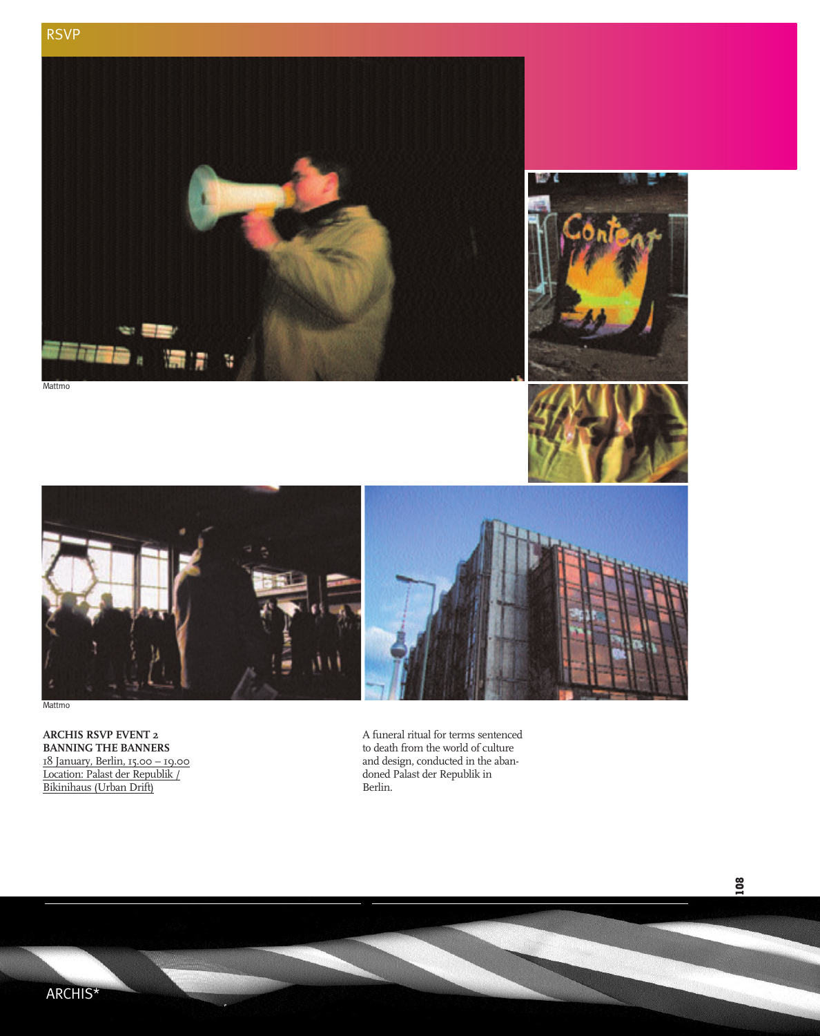









**ARCHIS RSVP EVENT 2 BANNING THE BANNERS** 18 January, Berlin, 15.00 – 19.00 Location: Palast der Republik / Bikinihaus (Urban Drift)

RSVP

Mattmo

A funeral ritual for terms sentenced to death from the world of culture and design, conducted in the abandoned Palast der Republik in Berlin.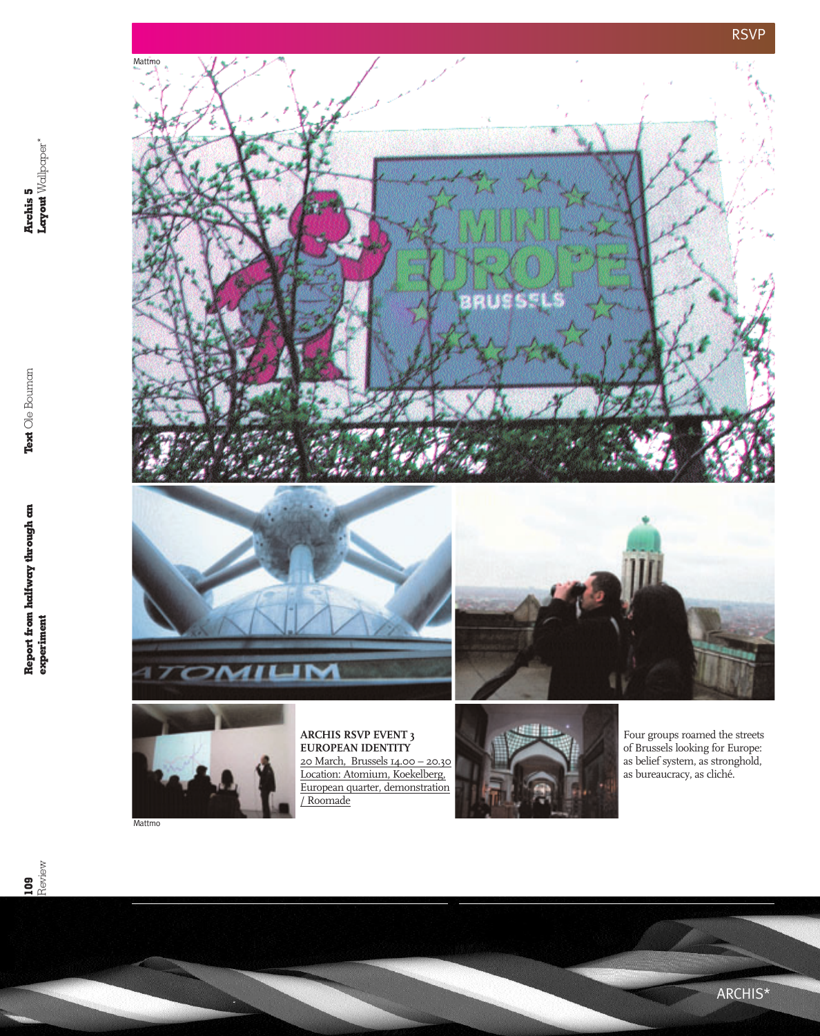

**Archis 5<br>Layout** Wallpaper\* **Layout** Wallpaper\*

ARCHIS\*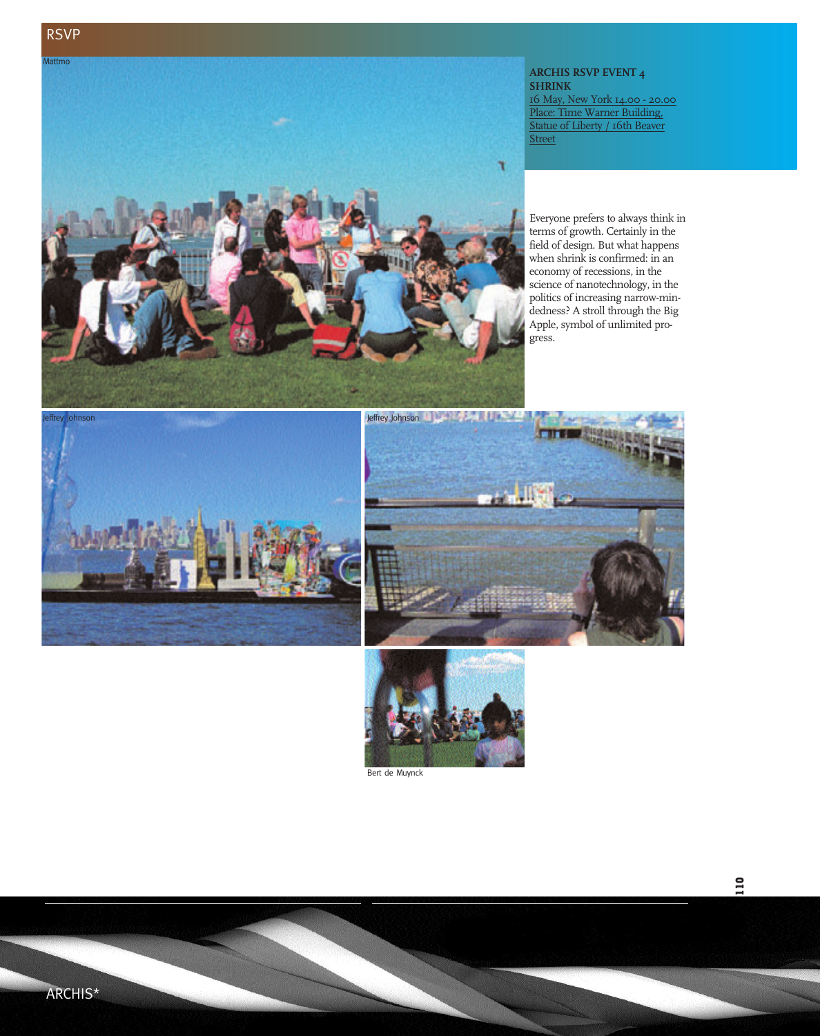## RSVP



**ARCHIS RSVP EVENT 4 SHRINK** 16 May, New York 14.00 - 20.00

Place: Time Warner Building, Statue of Liberty / 16th Beaver **Street** 

Everyone prefers to always think in terms of growth. Certainly in the field of design. But what happens when shrink is confirmed: in an economy of recessions, in the science of nanotechnology, in the politics of increasing narrow-mindedness? A stroll through the Big Apple, symbol of unlimited progress.







Bert de Muynck